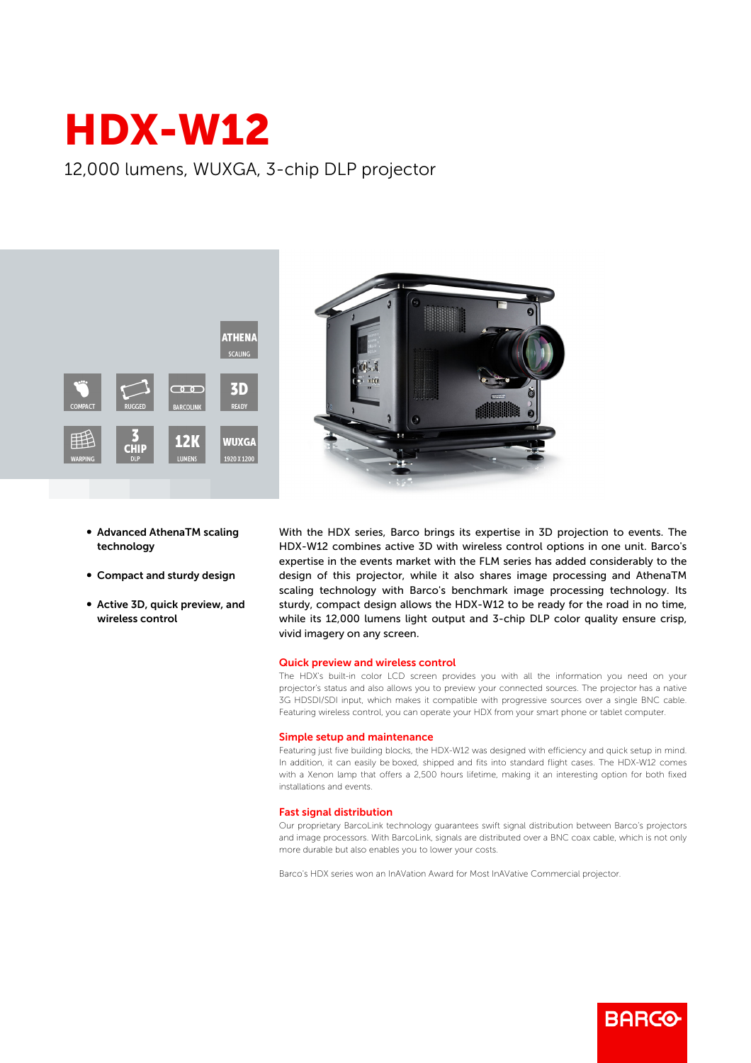# HDX-W12

12,000 lumens, WUXGA, 3-chip DLP projector





- **Advanced AthenaTM scaling** technology
- Compact and sturdy design
- Active 3D, quick preview, and wireless control

With the HDX series, Barco brings its expertise in 3D projection to events. The HDX-W12 combines active 3D with wireless control options in one unit. Barco's expertise in the events market with the FLM series has added considerably to the design of this projector, while it also shares image processing and AthenaTM scaling technology with Barco's benchmark image processing technology. Its sturdy, compact design allows the HDX-W12 to be ready for the road in no time, while its 12,000 lumens light output and 3-chip DLP color quality ensure crisp, vivid imagery on any screen.

#### Quick preview and wireless control

The HDX's built-in color LCD screen provides you with all the information you need on your projector's status and also allows you to preview your connected sources. The projector has a native 3G HDSDI/SDI input, which makes it compatible with progressive sources over a single BNC cable. Featuring wireless control, you can operate your HDX from your smart phone or tablet computer.

#### Simple setup and maintenance

Featuring just five building blocks, the HDX-W12 was designed with efficiency and quick setup in mind. In addition, it can easily be boxed, shipped and fits into standard flight cases. The HDX-W12 comes with a Xenon lamp that offers a 2,500 hours lifetime, making it an interesting option for both fixed installations and events.

### **Fast signal distribution**

Our proprietary BarcoLink technology guarantees swift signal distribution between Barco's projectors and image processors. With BarcoLink, signals are distributed over a BNC coax cable, which is not only more durable but also enables you to lower your costs.

**BARCO** 

Barco's HDX series won an InAVation Award for Most InAVative Commercial projector.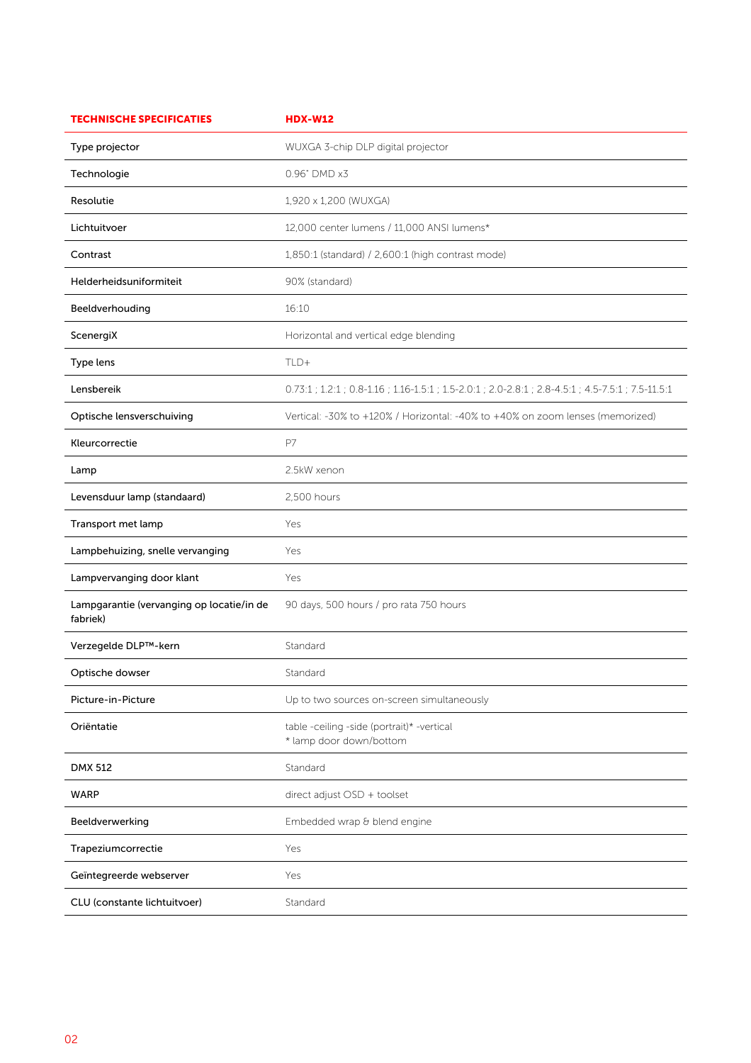| <b>TECHNISCHE SPECIFICATIES</b>                       | <b>HDX-W12</b>                                                                                      |
|-------------------------------------------------------|-----------------------------------------------------------------------------------------------------|
| Type projector                                        | WUXGA 3-chip DLP digital projector                                                                  |
| Technologie                                           | 0.96" DMD x3                                                                                        |
| Resolutie                                             | 1,920 x 1,200 (WUXGA)                                                                               |
| Lichtuitvoer                                          | 12,000 center lumens / 11,000 ANSI lumens*                                                          |
| Contrast                                              | 1,850:1 (standard) / 2,600:1 (high contrast mode)                                                   |
| Helderheidsuniformiteit                               | 90% (standard)                                                                                      |
| Beeldverhouding                                       | 16:10                                                                                               |
| ScenergiX                                             | Horizontal and vertical edge blending                                                               |
| Type lens                                             | $TLD+$                                                                                              |
| Lensbereik                                            | 0.73:1 ; 1.2:1 ; 0.8-1.16 ; 1.16-1.5:1 ; 1.5-2.0:1 ; 2.0-2.8:1 ; 2.8-4.5:1 ; 4.5-7.5:1 ; 7.5-11.5:1 |
| Optische lensverschuiving                             | Vertical: -30% to +120% / Horizontal: -40% to +40% on zoom lenses (memorized)                       |
| Kleurcorrectie                                        | P7                                                                                                  |
| Lamp                                                  | 2.5kW xenon                                                                                         |
| Levensduur lamp (standaard)                           | 2,500 hours                                                                                         |
| Transport met lamp                                    | Yes                                                                                                 |
| Lampbehuizing, snelle vervanging                      | Yes                                                                                                 |
| Lampvervanging door klant                             | Yes                                                                                                 |
| Lampgarantie (vervanging op locatie/in de<br>fabriek) | 90 days, 500 hours / pro rata 750 hours                                                             |
| Verzegelde DLP™-kern                                  | Standard                                                                                            |
| Optische dowser                                       | Standard                                                                                            |
| Picture-in-Picture                                    | Up to two sources on-screen simultaneously                                                          |
| Oriëntatie                                            | table -ceiling -side (portrait)* -vertical<br>* lamp door down/bottom                               |
| <b>DMX 512</b>                                        | Standard                                                                                            |
| <b>WARP</b>                                           | direct adjust OSD + toolset                                                                         |
| Beeldverwerking                                       | Embedded wrap & blend engine                                                                        |
| Trapeziumcorrectie                                    | Yes                                                                                                 |
| Geïntegreerde webserver                               | Yes                                                                                                 |
| CLU (constante lichtuitvoer)                          | Standard                                                                                            |